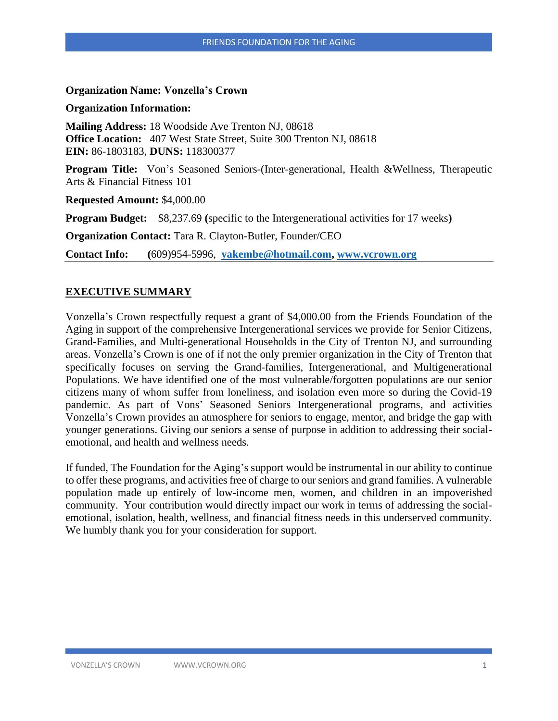### **Organization Name: Vonzella's Crown**

#### **Organization Information:**

**Mailing Address:** 18 Woodside Ave Trenton NJ, 08618 **Office Location:** 407 West State Street, Suite 300 Trenton NJ, 08618 **EIN:** 86-1803183, **DUNS:** 118300377

**Program Title:** Von's Seasoned Seniors-(Inter-generational, Health &Wellness, Therapeutic Arts & Financial Fitness 101

**Requested Amount:** \$4,000.00

**Program Budget:** \$8,237.69 **(**specific to the Intergenerational activities for 17 weeks**)**

**Organization Contact:** Tara R. Clayton-Butler, Founder/CEO

**Contact Info: (**609)954-5996, **[yakembe@hotmail.com,](mailto:yakembe@hotmail.com) [www.vcrown.org](http://www.vcrown.org/)**

## **EXECUTIVE SUMMARY**

Vonzella's Crown respectfully request a grant of \$4,000.00 from the Friends Foundation of the Aging in support of the comprehensive Intergenerational services we provide for Senior Citizens, Grand-Families, and Multi-generational Households in the City of Trenton NJ, and surrounding areas. Vonzella's Crown is one of if not the only premier organization in the City of Trenton that specifically focuses on serving the Grand-families, Intergenerational, and Multigenerational Populations. We have identified one of the most vulnerable/forgotten populations are our senior citizens many of whom suffer from loneliness, and isolation even more so during the Covid-19 pandemic. As part of Vons' Seasoned Seniors Intergenerational programs, and activities Vonzella's Crown provides an atmosphere for seniors to engage, mentor, and bridge the gap with younger generations. Giving our seniors a sense of purpose in addition to addressing their socialemotional, and health and wellness needs.

If funded, The Foundation for the Aging's support would be instrumental in our ability to continue to offer these programs, and activities free of charge to our seniors and grand families. A vulnerable population made up entirely of low-income men, women, and children in an impoverished community. Your contribution would directly impact our work in terms of addressing the socialemotional, isolation, health, wellness, and financial fitness needs in this underserved community. We humbly thank you for your consideration for support.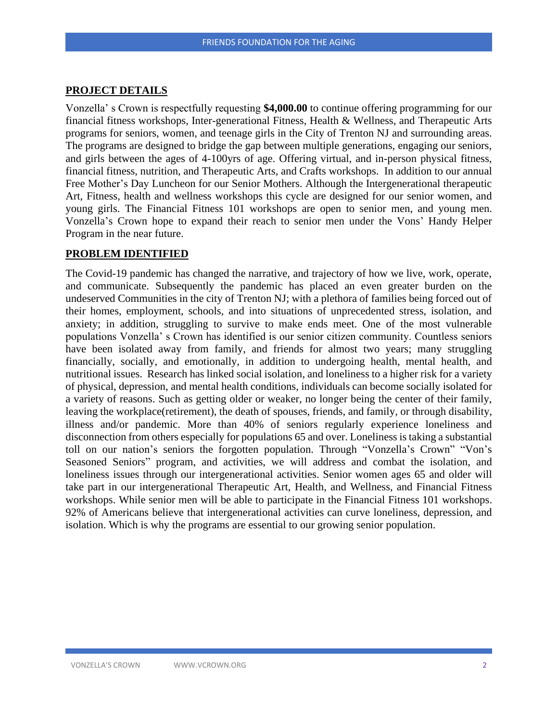## **PROJECT DETAILS**

Vonzella' s Crown is respectfully requesting **\$4,000.00** to continue offering programming for our financial fitness workshops, Inter-generational Fitness, Health & Wellness, and Therapeutic Arts programs for seniors, women, and teenage girls in the City of Trenton NJ and surrounding areas. The programs are designed to bridge the gap between multiple generations, engaging our seniors, and girls between the ages of 4-100yrs of age. Offering virtual, and in-person physical fitness, financial fitness, nutrition, and Therapeutic Arts, and Crafts workshops. In addition to our annual Free Mother's Day Luncheon for our Senior Mothers. Although the Intergenerational therapeutic Art, Fitness, health and wellness workshops this cycle are designed for our senior women, and young girls. The Financial Fitness 101 workshops are open to senior men, and young men. Vonzella's Crown hope to expand their reach to senior men under the Vons' Handy Helper Program in the near future.

#### **PROBLEM IDENTIFIED**

The Covid-19 pandemic has changed the narrative, and trajectory of how we live, work, operate, and communicate. Subsequently the pandemic has placed an even greater burden on the undeserved Communities in the city of Trenton NJ; with a plethora of families being forced out of their homes, employment, schools, and into situations of unprecedented stress, isolation, and anxiety; in addition, struggling to survive to make ends meet. One of the most vulnerable populations Vonzella' s Crown has identified is our senior citizen community. Countless seniors have been isolated away from family, and friends for almost two years; many struggling financially, socially, and emotionally, in addition to undergoing health, mental health, and nutritional issues. Research has linked social isolation, and loneliness to a higher risk for a variety of physical, depression, and mental health conditions, individuals can become socially isolated for a variety of reasons. Such as getting older or weaker, no longer being the center of their family, leaving the workplace(retirement), the death of spouses, friends, and family, or through disability, illness and/or pandemic. More than 40% of seniors regularly experience loneliness and disconnection from others especially for populations 65 and over. Loneliness is taking a substantial toll on our nation's seniors the forgotten population. Through "Vonzella's Crown" "Von's Seasoned Seniors" program, and activities, we will address and combat the isolation, and loneliness issues through our intergenerational activities. Senior women ages 65 and older will take part in our intergenerational Therapeutic Art, Health, and Wellness, and Financial Fitness workshops. While senior men will be able to participate in the Financial Fitness 101 workshops. 92% of Americans believe that intergenerational activities can curve loneliness, depression, and isolation. Which is why the programs are essential to our growing senior population.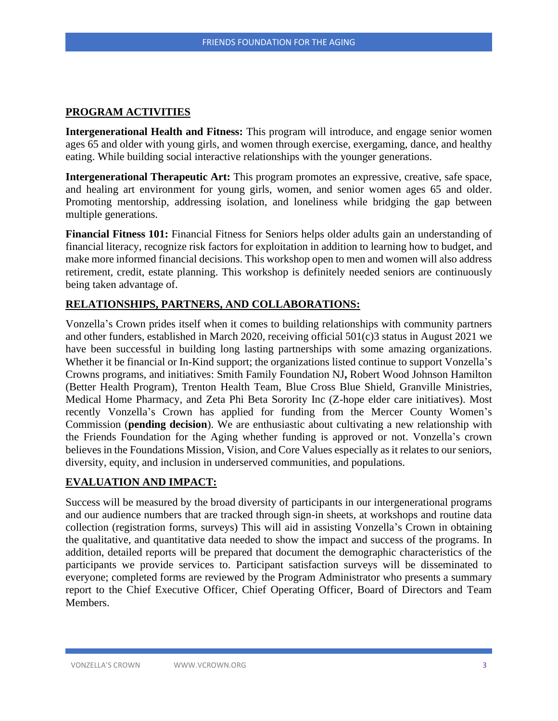## **PROGRAM ACTIVITIES**

**Intergenerational Health and Fitness:** This program will introduce, and engage senior women ages 65 and older with young girls, and women through exercise, exergaming, dance, and healthy eating. While building social interactive relationships with the younger generations.

**Intergenerational Therapeutic Art:** This program promotes an expressive, creative, safe space, and healing art environment for young girls, women, and senior women ages 65 and older. Promoting mentorship, addressing isolation, and loneliness while bridging the gap between multiple generations.

**Financial Fitness 101:** Financial Fitness for Seniors helps older adults gain an understanding of financial literacy, recognize risk factors for exploitation in addition to learning how to budget, and make more informed financial decisions. This workshop open to men and women will also address retirement, credit, estate planning. This workshop is definitely needed seniors are continuously being taken advantage of.

# **RELATIONSHIPS, PARTNERS, AND COLLABORATIONS:**

Vonzella's Crown prides itself when it comes to building relationships with community partners and other funders, established in March 2020, receiving official 501(c)3 status in August 2021 we have been successful in building long lasting partnerships with some amazing organizations. Whether it be financial or In-Kind support; the organizations listed continue to support Vonzella's Crowns programs, and initiatives: Smith Family Foundation NJ**,** Robert Wood Johnson Hamilton (Better Health Program), Trenton Health Team, Blue Cross Blue Shield, Granville Ministries, Medical Home Pharmacy, and Zeta Phi Beta Sorority Inc (Z-hope elder care initiatives). Most recently Vonzella's Crown has applied for funding from the Mercer County Women's Commission (**pending decision**). We are enthusiastic about cultivating a new relationship with the Friends Foundation for the Aging whether funding is approved or not. Vonzella's crown believes in the Foundations Mission, Vision, and Core Values especially as it relates to our seniors, diversity, equity, and inclusion in underserved communities, and populations.

# **EVALUATION AND IMPACT:**

Success will be measured by the broad diversity of participants in our intergenerational programs and our audience numbers that are tracked through sign-in sheets, at workshops and routine data collection (registration forms, surveys) This will aid in assisting Vonzella's Crown in obtaining the qualitative, and quantitative data needed to show the impact and success of the programs. In addition, detailed reports will be prepared that document the demographic characteristics of the participants we provide services to. Participant satisfaction surveys will be disseminated to everyone; completed forms are reviewed by the Program Administrator who presents a summary report to the Chief Executive Officer, Chief Operating Officer, Board of Directors and Team Members.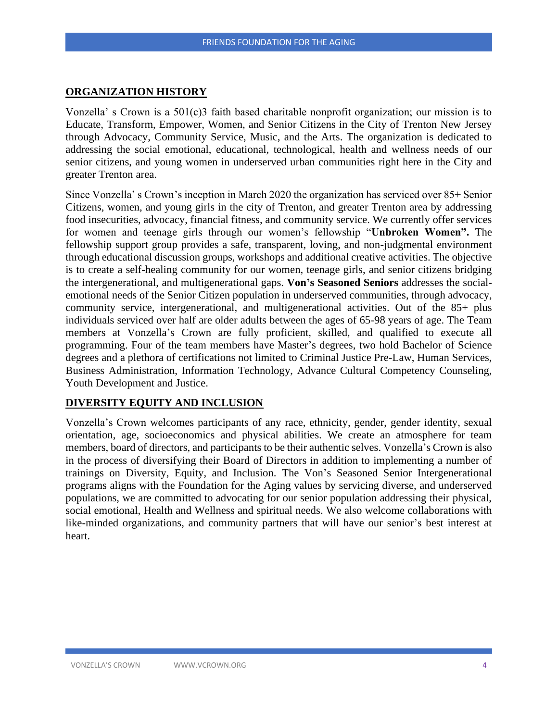## **ORGANIZATION HISTORY**

Vonzella' s Crown is a 501(c)3 faith based charitable nonprofit organization; our mission is to Educate, Transform, Empower, Women, and Senior Citizens in the City of Trenton New Jersey through Advocacy, Community Service, Music, and the Arts. The organization is dedicated to addressing the social emotional, educational, technological, health and wellness needs of our senior citizens, and young women in underserved urban communities right here in the City and greater Trenton area.

Since Vonzella' s Crown's inception in March 2020 the organization has serviced over 85+ Senior Citizens, women, and young girls in the city of Trenton, and greater Trenton area by addressing food insecurities, advocacy, financial fitness, and community service. We currently offer services for women and teenage girls through our women's fellowship "**Unbroken Women".** The fellowship support group provides a safe, transparent, loving, and non-judgmental environment through educational discussion groups, workshops and additional creative activities. The objective is to create a self-healing community for our women, teenage girls, and senior citizens bridging the intergenerational, and multigenerational gaps. **Von's Seasoned Seniors** addresses the socialemotional needs of the Senior Citizen population in underserved communities, through advocacy, community service, intergenerational, and multigenerational activities. Out of the 85+ plus individuals serviced over half are older adults between the ages of 65-98 years of age. The Team members at Vonzella's Crown are fully proficient, skilled, and qualified to execute all programming. Four of the team members have Master's degrees, two hold Bachelor of Science degrees and a plethora of certifications not limited to Criminal Justice Pre-Law, Human Services, Business Administration, Information Technology, Advance Cultural Competency Counseling, Youth Development and Justice.

## **DIVERSITY EQUITY AND INCLUSION**

Vonzella's Crown welcomes participants of any race, ethnicity, gender, gender identity, sexual orientation, age, socioeconomics and physical abilities. We create an atmosphere for team members, board of directors, and participants to be their authentic selves. Vonzella's Crown is also in the process of diversifying their Board of Directors in addition to implementing a number of trainings on Diversity, Equity, and Inclusion. The Von's Seasoned Senior Intergenerational programs aligns with the Foundation for the Aging values by servicing diverse, and underserved populations, we are committed to advocating for our senior population addressing their physical, social emotional, Health and Wellness and spiritual needs. We also welcome collaborations with like-minded organizations, and community partners that will have our senior's best interest at heart.